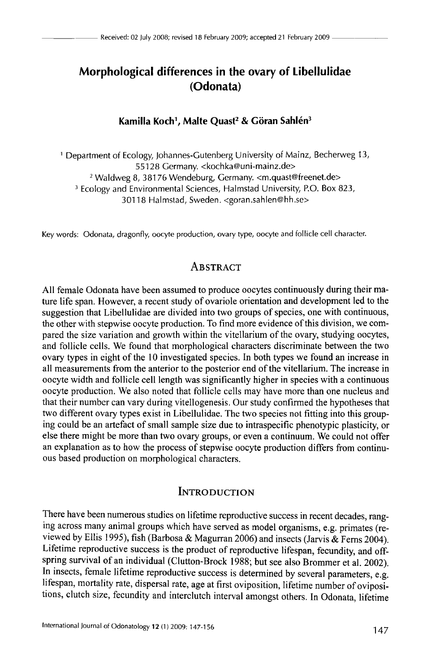# **Morphological differences in the ovary of Libellulidae (Odonata)**

# **Kamilla Koch1, Malte Quasf2 & Goran** Sahh~n<sup>3</sup>

<sup>1</sup> Department of Ecology, Johannes-Gutenberg University of Mainz, Becherweg 13, 55128 Germany. <kochka@uni-mainz.de> <sup>2</sup>Waldweg 8, 38176 Wendeburg, Germany. <m.quast@freenet.de> <sup>3</sup> Ecology and Environmental Sciences, Halmstad University, P.O. Box 823, 30118 Halmstad, Sweden. <goran.sahlen@hh.se>

Key words: Odonata, dragonfly, oocyte production, ovary type, oocyte and follicle cell character.

# ABSTRACT

All female Odonata have been assumed to produce oocytes continuously during their mature life span. However, a recent study of ovariole orientation and development led to the suggestion that Libellulidae are divided into two groups of species, one with continuous, the other with stepwise oocyte production. To find more evidence of this division, we compared the size variation and growth within the vitellarium of the ovary, studying oocytes, and follicle cells. We found that morphological characters discriminate between the two ovary types in eight of the 10 investigated species. In both types we found an increase in all measurements from the anterior to the posterior end of the vitellarium. The increase in oocyte width and follicle cell length was significantly higher in species with a continuous oocyte production. We also noted that follicle cells may have more than one nucleus and that their number can vary during vitellogenesis. Our study confirmed the hypotheses that two different ovary types exist in Libellulidae. The two species not fitting into this grouping could be an artefact of small sample size due to intraspecific phenotypic plasticity, or else there might be more than two ovary groups, or even a continuum. We could not offer an explanation as to how the process of stepwise oocyte production differs from continuous based production on morphological characters.

# **INTRODUCTION**

There have been numerous studies on lifetime reproductive success in recent decades, ranging across many animal groups which have served as model organisms, e.g. primates (reviewed by Ellis 1995), fish (Barbosa & Magurran 2006) and insects (Jarvis & Ferns 2004). Lifetime reproductive success is the product of reproductive lifespan, fecundity, and offspring survival of an individual (Clutton-Brock 1988; but see also Brommer et al. 2002). In insects, female lifetime reproductive success is determined by several parameters, e.g. lifespan, mortality rate, dispersal rate, age at first oviposition, lifetime number of ovipositions, clutch size, fecundity and interclutch interval amongst others. In Odonata, lifetime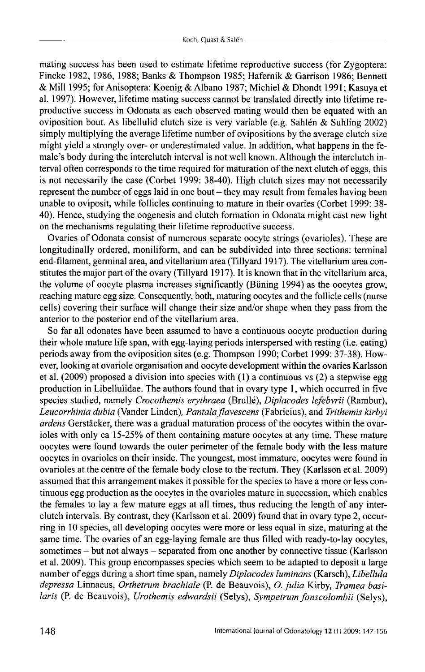mating success has been used to estimate lifetime reproductive success (for Zygoptera: Fincke 1982, 1986, 1988; Banks & Thompson 1985; Hafernik & Garrison 1986; Bennett & Mill 1995; for Anisoptera: Koenig & Albano 1987; Michiel & Dhondt 1991; Kasuya et al. 1997). However, lifetime mating success cannot be translated directly into lifetime reproductive success in Odonata as each observed mating would then be equated with an oviposition bout. As libellulid clutch size is very variable (e.g. Sahlen & Suhling 2002) simply multiplying the average lifetime number of ovipositions by the average clutch size might yield a strongly over- or underestimated value. In addition, what happens in the female's body during the interclutch interval is not well known. Although the interclutch interval often corresponds to the time required for maturation of the next clutch of eggs, this is not necessarily the case (Corbet 1999: 38-40). High clutch sizes may not necessarily represent the number of eggs laid in one bout- they may result from females having been unable to oviposit, while follicles continuing to mature in their ovaries (Corbet 1999: 38- 40). Hence, studying the oogenesis and clutch formation in Odonata might cast new light on the mechanisms regulating their lifetime reproductive success.

Ovaries of Odonata consist of numerous separate oocyte strings (ovarioles). These are longitudinally ordered, moniliform, and can be subdivided into three sections: terminal end-filament, germinal area, and vitellarium area (Tillyard 1917). The vitellarium area constitutes the major part of the ovary (Tillyard 1917). It is known that in the vitellarium area, the volume of oocyte plasma increases significantly (Biining 1994) as the oocytes grow, reaching mature egg size. Consequently, both, maturing oocytes and the follicle cells (nurse cells) covering their surface will change their size and/or shape when they pass from the anterior to the posterior end of the vitellarium area.

So far all odonates have been assumed to have a continuous oocyte production during their whole mature life span, with egg-laying periods interspersed with resting (i.e. eating) periods away from the oviposition sites (e.g. Thompson 1990; Corbet 1999: 37-38). However, looking at ovariole organisation and oocyte development within the ovaries Karlsson et al. (2009) proposed a division into species with (1) a continuous vs (2) a stepwise egg production in Libellulidae. The authors found that in ovary type 1, which occurred in five species studied, namely *Crocothemis erythraea* (Brulle), *Diplacodes lefebvrii* (Rambur), *Leucorrhinia dubia* (Vander Linden), *Pantalaflavescens* (Fabricius), and *Trithemis kirbyi ardens* Gerstacker, there was a gradual maturation process of the oocytes within the ovarioles with only ca 15-25% of them containing mature oocytes at any time. These mature oocytes were found towards the outer perimeter of the female body with the less mature oocytes in ovarioles on their inside. The youngest, most immature, oocytes were found in ovarioles at the centre of the female body close to the rectum. They (Karlsson et al. 2009) assumed that this arrangement makes it possible for the species to have a more or less continuous egg production as the oocytes in the ovarioles mature in succession, which enables the females to lay a few mature eggs at all times, thus reducing the length of any interclutch intervals. By contrast, they (Karlsson et al. 2009) found that in ovary type 2, occurring in 10 species, all developing oocytes were more or less equal in size, maturing at the same time. The ovaries of an egg-laying female are thus filled with ready-to-lay oocytes, sometimes  $-$  but not always  $-$  separated from one another by connective tissue (Karlsson et al. 2009). This group encompasses species which seem to be adapted to deposit a large number of eggs during a short time span, namely *Diplacodes luminans* (Karsch), *Libellula depressa* Linnaeus, *Orthetrum brachiale* (P. de Beauvois), 0. *julia* Kirby, *Tramea basilaris* (P. de Beauvois), *Urothemis edwardsii* (Selys), *Sympetrum fonscolombii* (Selys),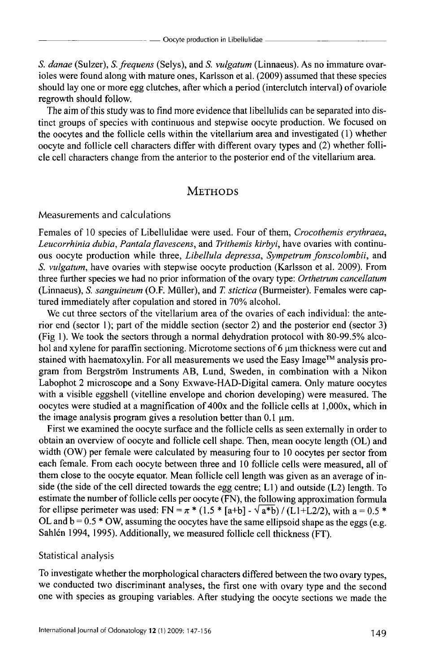S. *danae* (Sulzer), *S.frequens* (Selys), and S. *vulgatum* (Linnaeus). As no immature ovarioles were found along with mature ones, Karlsson et al. (2009) assumed that these species should lay one or more egg clutches, after which a period (interclutch interval) of ovariole regrowth should follow.

The *aim* of *this* study was to find more evidence that libellulids can be separated into distinct groups of species with continuous and stepwise oocyte production. We focused on the oocytes and the follicle cells within the vitellarium area and investigated (1) whether oocyte and follicle cell characters differ with different ovary types and (2) whether follicle cell characters change from the anterior to the posterior end of the vitellarium area.

### **METHODS**

#### Measurements and calculations

Females of 10 species of Libellulidae were used. Four of them, *Crocothemis erythraea, Leucorrhinia dubia, Pan tala jlavescens,* and *Trithemis kirbyi,* have ovaries with continuous oocyte production while three, *Libellula depressa, Sympetrum fonscolombii,* and S. *vulgatum,* have ovaries with stepwise oocyte production (Karlsson et a!. 2009). From three further species we had no prior information of the ovary type: *Orthetrum cancellatum*  (Linnaeus), S. *sanguineum* (O.F. Muller), and *T. stictica* (Burmeister). Females were captured immediately after copulation and stored in 70% alcohol.

We cut three sectors of the vitellarium area of the ovaries of each individual: the anterior end (sector 1); part of the middle section (sector 2) and the posterior end (sector 3) (Fig 1). We took the sectors through a normal dehydration protocol with 80-99.5% alcohol and xylene for paraffin sectioning. Microtome sections of  $6 \mu m$  thickness were cut and stained with haematoxylin. For all measurements we used the Easy Image<sup>TM</sup> analysis program from Bergstrom Instruments AB, Lund, Sweden, in combination with a Nikon Labophot 2 microscope and a Sony Exwave-HAD-Digital camera. Only mature oocytes with a visible eggshell (vitelline envelope and chorion developing) were measured. The oocytes were studied at a magnification of 400x and the follicle cells at 1 ,OOOx, which in the image analysis program gives a resolution better than  $0.1 \mu m$ .

First we examined the oocyte surface and the follicle cells as seen externally in order to obtain an overview of oocyte and follicle cell shape. Then, mean oocyte length (OL) and width (OW) per female were calculated by measuring four to 10 oocytes per sector from each female. From each oocyte between three and 10 follicle cells were measured, all of them close to the oocyte equator. Mean follicle cell length was given as an average of inside (the side of the cell directed towards the egg centre;  $L1$ ) and outside ( $L2$ ) length. To estimate the number of follicle cells per oocyte (FN), the following approximation formula for ellipse perimeter was used: FN =  $\pi$  \* (1.5 \* [a+b] -  $\sqrt{a^{*}b}$ ) / (L1+L2/2), with a = 0.5 \* OL and  $b = 0.5 * OW$ , assuming the oocytes have the same ellipsoid shape as the eggs (e.g. Sahlén 1994, 1995). Additionally, we measured follicle cell thickness (FT).

#### Statistical analysis

To investigate whether the morphological characters differed between the two ovary types, we conducted two discriminant analyses, the first one with ovary type and the second one with species as grouping variables. After studying the oocyte sections we made the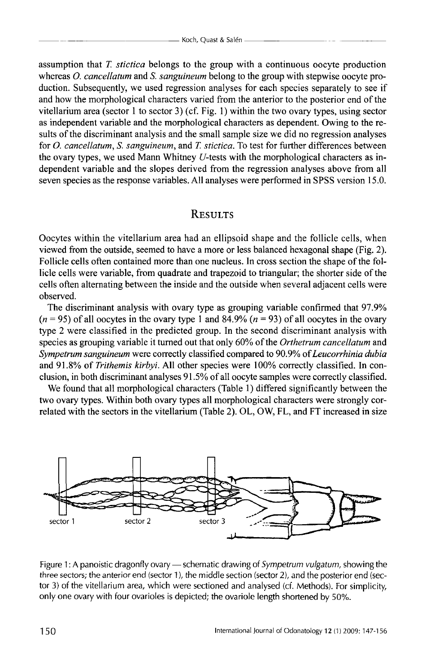assumption that *T stictica* belongs to the group with a continuous oocyte production whereas *0. cancellatum* and S. *sanguineum* belong to the group with stepwise oocyte production. Subsequently, we used regression analyses for each species separately to see if and how the morphological characters varied from the anterior to the posterior end of the vitellarium area (sector 1 to sector 3) (cf. Fig. I) within the two ovary types, using sector as independent variable and the morphological characters as dependent. Owing to the results of the discriminant analysis and the small sample size we did no regression analyses for 0. *cancellatum,* S. *sanguineum,* and *T stictica.* To test for further differences between the ovary types, we used Mann Whitney U-tests with the morphological characters as independent variable and the slopes derived from the regression analyses above from all seven species as the response variables. All analyses were performed in SPSS version 15.0.

### **RESULTS**

Oocytes within the vitellarium area had an ellipsoid shape and the follicle cells, when viewed from the outside, seemed to have a more or less balanced hexagonal shape (Fig. 2). Follicle cells often contained more than one nucleus. In cross section the shape of the follicle cells were variable, from quadrate and trapezoid to triangular; the shorter side of the cells often alternating between the inside and the outside when several adjacent cells were observed.

The discriminant analysis with ovary type as grouping variable confirmed that 97.9%  $(n = 95)$  of all oocytes in the ovary type 1 and 84.9%  $(n = 93)$  of all oocytes in the ovary type 2 were classified in the predicted group. In the second discriminant analysis with species as grouping variable it turned out that only 60% of the *Orthetrum cancellatum* and *Sympetrum sanguineum* were correctly classified compared to 90.9% of *Leucorrhinia dubia*  and 91.8% of *Trithemis kirbyi.* All other species were 100% correctly classified. In conclusion, in both discriminant analyses 91.5% of all oocyte samples were correctly classified.

We found that all morphological characters (Table 1) differed significantly between the two ovary types. Within both ovary types all morphological characters were strongly correlated with the sectors in the vitellarium (Table 2). OL, OW, FL, and FT increased in size



Figure 1: A panoistic dragonfly ovary — schematic drawing of *Sympetrum vulgatum*, showing the three sectors; the anterior end (sector 1), the middle section (sector 2), and the posterior end (sector 3) of the vitellarium area, which were sectioned and analysed (cf. Methods). For simplicity, only one *ovary* with four ovarioles is depicted; the ovariole length shortened by 50%.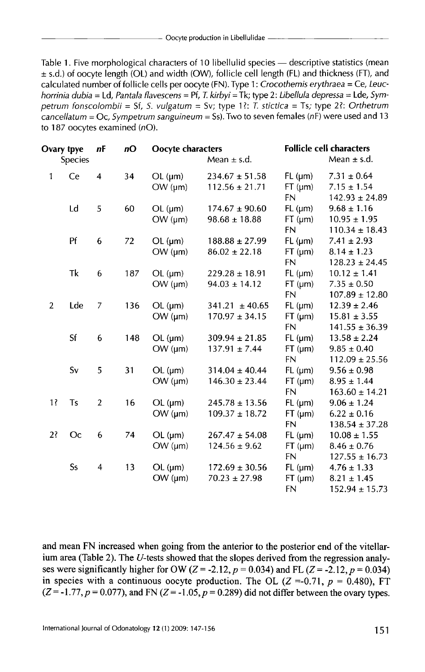Table 1. Five morphological characters of 10 libellulid species — descriptive statistics (mean ± s.d.) of oocyte length (OL) and width (OW), follicle cell length (FL) and thickness (FT), and calculated number of follicle cells per oocyte (FN). Type 1: *Crocothemis erythraea* = Ce, *Leuchorrinia dubia* = Ld, *Pantala flavescens* = Pf, *T. kirbyi* = Tk; type 2: *Libellula depressa* = Lde, *Sympetrum fonscolombii* = Sf, 5. *vulgatum* = Sv; type 1 ?: *T. stictica* = Ts; type 2?: *Orthetrum cancellatum* = Oc, *Sympetrum sanguineum* = Ss). Two to seven females (nF) were used and 13 to 187 oocytes examined (nO).

| Ovary tpye<br>Species |     | nF             | n <sub>O</sub> | Oocyte characters |                    | <b>Follicle cell characters</b> |                                       |
|-----------------------|-----|----------------|----------------|-------------------|--------------------|---------------------------------|---------------------------------------|
|                       |     |                |                |                   | Mean $\pm$ s.d.    |                                 | Mean $\pm$ s.d.                       |
| 1                     | Ce  | $\overline{4}$ | 34             | OL (µm)           | $234.67 \pm 51.58$ | FL (µm)                         | $7.31 \pm 0.64$                       |
|                       |     |                |                | OW (µm)           | $112.56 \pm 21.71$ | FT (µm)                         | $7.15 \pm 1.54$                       |
|                       |     |                |                |                   |                    | <b>FN</b>                       | $142.93 \pm 24.89$                    |
|                       | Ld  | 5              | 60             | OL (µm)           | $174.67 \pm 90.60$ | FL (µm)                         | $9.68 \pm 1.16$                       |
|                       |     |                |                | OW (µm)           | $98.68 \pm 18.88$  | FT (µm)                         | $10.95 \pm 1.95$                      |
|                       |     |                |                |                   |                    | <b>FN</b>                       | $110.34 \pm 18.43$                    |
|                       | Pf  | 6              | 72             | OL (µm)           | $188.88 \pm 27.99$ | FL (µm)                         | $7.41 \pm 2.93$                       |
|                       |     |                |                | OW (µm)           | $86.02 \pm 22.18$  | FT (µm)                         | $8.14 \pm 1.23$                       |
|                       |     |                |                |                   |                    | <b>FN</b>                       | $128.23 \pm 24.45$                    |
|                       | Tk  | 6              | 187            | OL (µm)           | $229.28 \pm 18.91$ | FL (µm)                         | $10.12 \pm 1.41$                      |
|                       |     |                |                | OW (µm)           | $94.03 \pm 14.12$  | FT (µm)                         | $7.35 \pm 0.50$                       |
|                       |     |                |                |                   |                    | <b>FN</b>                       | $107.89 \pm 12.80$                    |
| $\overline{2}$        | Lde | 7              | 136            | OL (µm)           | $341.21 \pm 40.65$ | FL (µm)                         | $12.39 \pm 2.46$                      |
|                       |     |                |                | OW (µm)           | $170.97 \pm 34.15$ | FT (µm)                         | $15.81 \pm 3.55$                      |
|                       |     |                |                |                   |                    | FN                              | $141.55 \pm 36.39$                    |
|                       | Sf  | 6              | 148            | OL (µm)           | $309.94 \pm 21.85$ | FL (µm)                         | $13.58 \pm 2.24$                      |
|                       |     |                |                | OW (µm)           | $137.91 \pm 7.44$  | FT (µm)                         | $9.85 \pm 0.40$                       |
|                       |     |                |                |                   |                    | <b>FN</b>                       | $112.09 \pm 25.56$                    |
|                       | Sv  | 5              | 31             | OL (µm)           | $314.04 \pm 40.44$ | FL (µm)                         | $9.56 \pm 0.98$                       |
|                       |     |                |                | OW (µm)           | $146.30 \pm 23.44$ | FT (µm)<br><b>FN</b>            | $8.95 \pm 1.44$<br>$163.60 \pm 14.21$ |
| 1?                    | Ts  | $\overline{2}$ | 16             | OL (µm)           | $245.78 \pm 13.56$ | FL (µm)                         | $9.06 \pm 1.24$                       |
|                       |     |                |                | OW (µm)           | $109.37 \pm 18.72$ | FT (µm)                         | $6.22 \pm 0.16$                       |
|                       |     |                |                |                   |                    | <b>FN</b>                       | $138.54 \pm 37.28$                    |
| 2?                    | Oc  | 6              | 74             | OL (µm)           | $267.47 \pm 54.08$ | FL (µm)                         | $10.08 \pm 1.55$                      |
|                       |     |                |                | OW (µm)           | $124.56 \pm 9.62$  | FT (µm)                         | $8.46 \pm 0.76$                       |
|                       |     |                |                |                   |                    | FN                              | $127.55 \pm 16.73$                    |
|                       | Ss  | 4              | 13             | OL (µm)           | $172.69 \pm 30.56$ | FL (µm)                         | $4.76 \pm 1.33$                       |
|                       |     |                |                | OW (µm)           | $70.23 \pm 27.98$  | FT (µm)                         | $8.21 \pm 1.45$                       |
|                       |     |                |                |                   |                    | <b>FN</b>                       | $152.94 \pm 15.73$                    |

and mean FN increased when going from the anterior to the posterior end of the vitellarium area (Table 2). The *U-tests* showed that the slopes derived from the regression analyses were significantly higher for OW (Z = -2.12,  $p = 0.034$ ) and FL (Z = -2.12,  $p = 0.034$ ) in species with a continuous oocyte production. The OL  $(Z = 0.71, p = 0.480)$ , FT  $(Z = -1.77, p = 0.077)$ , and FN  $(Z = -1.05, p = 0.289)$  did not differ between the ovary types.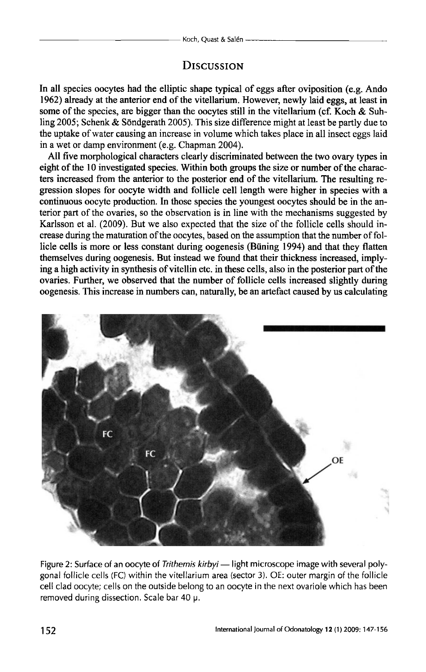# **DISCUSSION**

In all species oocytes had the elliptic shape typical of eggs after oviposition (e.g. Ando 1962) already at the anterior end of the vitellarium. However, newly laid eggs, at least in some of the species, are bigger than the oocytes still in the vitellarium ( $cf.$  Koch  $\&$  Subling 2005; Schenk & Sondgerath 2005). This size difference might at least be partly due to the uptake of water causing an increase in volume which takes place in all insect eggs laid in a wet or damp environment (e.g. Chapman 2004).

All five morphological characters clearly discriminated between the two ovary types in eight of the 10 investigated species. Within both groups the size or number of the characters increased from the anterior to the posterior end of the vitellarium. The resulting regression slopes for oocyte width and follicle cell length were higher in species with a continuous oocyte production. In those species the youngest oocytes should be in the anterior part of the ovaries, so the observation is in line with the mechanisms suggested by Karlsson et al. (2009). But we also expected that the size of the follicle cells should increase during the maturation of the oocytes, based on the assumption that the number of follicle cells is more or less constant during oogenesis (Büning 1994) and that they flatten themselves during oogenesis. But instead we found that their thickness increased, implying a high activity in synthesis of vitellin etc. in these cells, also in the posterior part of the ovaries. Further, we observed that the number of follicle cells increased slightly during oogenesis. This increase in numbers can, naturally, be an artefact caused by us calculating



Figure 2: Surface of an oocyte of *Trithemis kirbyi* — light microscope image with several polygonal follicle cells (FC) within the vitellarium area (sector 3). OE: outer margin of the follicle cell clad oocyte; cells on the outside belong to an oocyte in the next ovariole which has been removed during dissection. Scale bar 40  $\mu$ .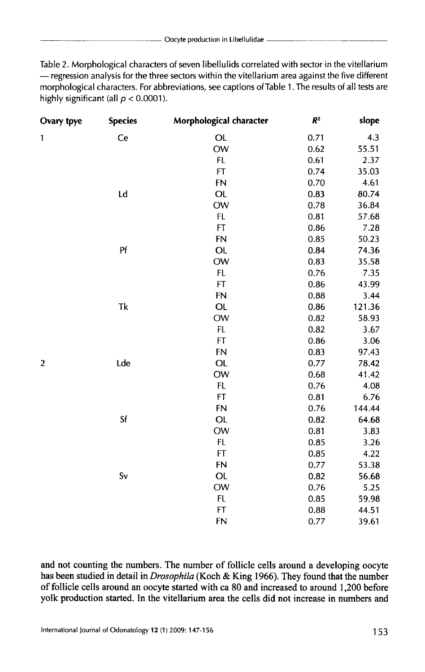Oocyte production in Libellulidae

Table 2. Morphological characters of seven libellulids correlated with sector in the vitellarium - regression analysis for the three sectors within the vitellarium area against the five different morphological characters. For abbreviations, see captions of Table 1. The results of all tests are highly significant (all  $p < 0.0001$ ).

| Ovary tpye     | <b>Species</b>         | Morphological character | $I\!\!R^2$                                                                                                                                                                                                                                   | slope  |
|----------------|------------------------|-------------------------|----------------------------------------------------------------------------------------------------------------------------------------------------------------------------------------------------------------------------------------------|--------|
| 1              | Ce                     | OL                      | 0.71                                                                                                                                                                                                                                         | 4.3    |
|                |                        | <b>OW</b>               | 0.62                                                                                                                                                                                                                                         | 55.51  |
|                |                        | FL                      | 0.61                                                                                                                                                                                                                                         | 2.37   |
|                |                        | <b>FT</b>               | 0.74                                                                                                                                                                                                                                         | 35.03  |
|                |                        | FN                      | 0.70<br>0.83<br>0.78<br>0.81<br>0.86<br>0.85<br>0.84<br>0.83<br>0.76<br>0.86<br>0.88<br>0.86<br>0.82<br>0.82<br>0.86<br>0.83<br>0.77<br>0.68<br>0.76<br>0.81<br>0.76<br>0.82<br>0.81<br>0.85<br>0.85<br>0.77<br>0.82<br>0.76<br>0.85<br>0.88 | 4.61   |
|                | Ld                     | OL                      |                                                                                                                                                                                                                                              | 80.74  |
|                |                        | <b>OW</b>               |                                                                                                                                                                                                                                              | 36.84  |
|                |                        | FL                      |                                                                                                                                                                                                                                              | 57.68  |
|                |                        | FT                      |                                                                                                                                                                                                                                              | 7.28   |
|                |                        | <b>FN</b>               |                                                                                                                                                                                                                                              | 50.23  |
|                | Pf                     | OL                      |                                                                                                                                                                                                                                              | 74.36  |
|                |                        | <b>OW</b>               |                                                                                                                                                                                                                                              | 35.58  |
|                |                        | FL                      |                                                                                                                                                                                                                                              | 7.35   |
|                |                        | FT                      |                                                                                                                                                                                                                                              | 43.99  |
|                |                        | <b>FN</b>               |                                                                                                                                                                                                                                              | 3.44   |
|                | Tk                     | OL                      |                                                                                                                                                                                                                                              | 121.36 |
|                |                        | <b>OW</b>               |                                                                                                                                                                                                                                              | 58.93  |
|                |                        | $\mathsf{FL}$           |                                                                                                                                                                                                                                              | 3.67   |
|                |                        | FT                      |                                                                                                                                                                                                                                              | 3.06   |
|                |                        | FN                      |                                                                                                                                                                                                                                              | 97.43  |
| $\overline{2}$ | Lde                    | OL                      |                                                                                                                                                                                                                                              | 78.42  |
|                |                        | <b>OW</b>               |                                                                                                                                                                                                                                              | 41.42  |
|                |                        | FL.                     |                                                                                                                                                                                                                                              | 4.08   |
|                |                        | FT                      |                                                                                                                                                                                                                                              | 6.76   |
|                |                        | <b>FN</b>               |                                                                                                                                                                                                                                              | 144.44 |
|                | Sf                     | OL                      |                                                                                                                                                                                                                                              | 64.68  |
|                |                        | <b>OW</b>               |                                                                                                                                                                                                                                              | 3.83   |
|                |                        | FL.                     |                                                                                                                                                                                                                                              | 3.26   |
|                |                        | FT                      |                                                                                                                                                                                                                                              | 4.22   |
|                |                        | <b>FN</b>               |                                                                                                                                                                                                                                              | 53.38  |
|                | $\textsf{S}\textsf{v}$ | OL                      |                                                                                                                                                                                                                                              | 56.68  |
|                |                        | <b>OW</b>               |                                                                                                                                                                                                                                              | 5.25   |
|                |                        | FL                      |                                                                                                                                                                                                                                              | 59.98  |
|                |                        | FT                      |                                                                                                                                                                                                                                              | 44.51  |
|                |                        | FN                      | 0.77                                                                                                                                                                                                                                         | 39.61  |

and not counting the numbers. The number of follicle cells around a developing oocyte has been studied in detail in *Drosophila* (Koch & King 1966). They found that the number of follicle cells around an oocyte started with ca 80 and increased to around 1,200 before yolk production started. In the vitellarium area the cells did not increase in numbers and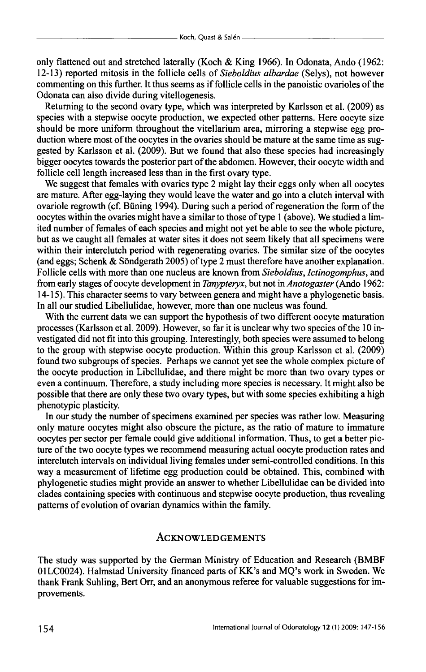only flattened out and stretched laterally (Koch & King 1966). In Odonata, Ando (1962: 12-13) reported mitosis in the follicle cells of *Sieboldius albardae* (Selys ), not however commenting on this further. It thus seems as iffollicle cells in the panoistic ovarioles of the Odonata can also divide during vitellogenesis.

Returning to the second ovary type, which was interpreted by Karlsson et al. (2009) as species with a stepwise oocyte production, we expected other patterns. Here oocyte size should be more uniform throughout the vitellarium area, mirroring a stepwise egg production where most of the oocytes in the ovaries should be mature at the same time as suggested by Karlsson et al. (2009). But we found that also these species had increasingly bigger oocytes towards the posterior part of the abdomen. However, their oocyte width and follicle cell length increased less than in the first ovary type.

We suggest that females with ovaries type 2 might lay their eggs only when all oocytes are mature. After egg-laying they would leave the water and go into a clutch interval with ovariole regrowth (cf. Büning 1994). During such a period of regeneration the form of the oocytes within the ovaries might have a similar to those of type 1 (above). We studied a limited number of females of each species and might not yet be able to see the whole picture, but as we caught all females at water sites it does not seem likely that all specimens were within their interclutch period with regenerating ovaries. The similar size of the oocytes (and eggs; Schenk & Söndgerath 2005) of type 2 must therefore have another explanation. Follicle cells with more than one nucleus are known from *Sieboldius, Ictinogomphus,* and from early stages of oocyte development in *Tanypteryx,* but not in *Anotogaster* (Ando 1962: 14-15). This character seems to vary between genera and might have a phylogenetic basis. In all our studied Libellulidae, however, more than one nucleus was found.

With the current data we can support the hypothesis of two different oocyte maturation processes (Karlsson et al. 2009). However, so far it is unclear why two species of the 10 investigated did not fit into this grouping. Interestingly, both species were assumed to belong to the group with stepwise oocyte production. Within this group Karlsson et al. (2009) found two subgroups of species. Perhaps we cannot yet see the whole complex picture of the oocyte production in Libellulidae, and there might be more than two ovary types or even a continuum. Therefore, a study including more species is necessary. It might also be possible that there are only these two ovary types, but with some species exhibiting a high phenotypic plasticity.

In our study the number of specimens examined per species was rather low. Measuring only mature oocytes might also obscure the picture, as the ratio of mature to immature oocytes per sector per female could give additional information. Thus, to get a better picture of the two oocyte types we recommend measuring actual oocyte production rates and interclutch intervals on individual living females under semi-controlled conditions. In this way a measurement of lifetime egg production could be obtained. This, combined with phylogenetic studies might provide an answer to whether Libellulidae can be divided into clades containing species with continuous and stepwise oocyte production, thus revealing patterns of evolution of ovarian dynamics within the family.

### **ACKNOWLEDGEMENTS**

The study was supported by the German Ministry of Education and Research (BMBF 01LC0024). Halmstad University financed parts of KK's and MQ's work in Sweden. We thank Frank Suhling, Bert Orr, and an anonymous referee for valuable suggestions for improvements.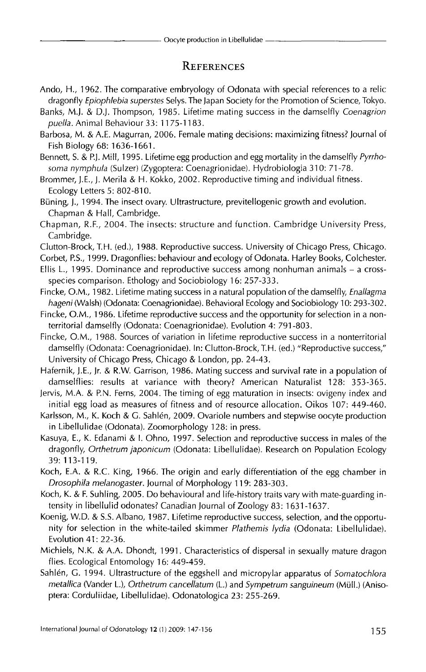### **REFERENCES**

Ando, H., 1962. The comparative embryology of Odonata with special references to a relic dragonfly *Epiophlebia superstes* Selys. The Japan Society for the Promotion of Science, Tokyo.

Banks, M.j. & D.j. Thompson, 1985. Lifetime mating success in the damselfly *Coenagrion puella.* Animal Behaviour 33: 1175-1183.

- Barbosa, M. & A.E. Magurran, 2006. Female mating decisions: maximizing fitness? Journal of Fish Biology 68: 1636-1661.
- Bennett, S. & P.j. Mill, 1995. Lifetime egg production and egg mortality in the damselfly *Pyrrhosoma nymphula* (Sulzer) (Zygoptera: Coenagrionidae). Hydrobiologia 310: 71-78.
- Brommer, j.E., j. Merila & H. Kokko, 2002. Reproductive timing and individual fitness. Ecology Letters 5: 802-810.

Büning, J., 1994. The insect ovary. Ultrastructure, previtellogenic growth and evolution. Chapman & Hall, Cambridge.

- Chapman, R.F., 2004. The insects: structure and function. Cambridge University Press, Cambridge.
- Clutton-Brock, T.H. (ed.), 1988. Reproductive success. University of Chicago Press, Chicago.

Corbet, P.S., 1999. Dragonflies: behaviour and ecology of Odonata. Harley Books, Colchester.

- Ellis L., 1995. Dominance and reproductive success among nonhuman animals- a crossspecies comparison. Ethology and Sociobiology 16: 257-333.
- Fincke, O.M., 1982. Lifetime mating success in a natural population of the damselfly, *Enallagma hageni* (Walsh) (Odonata: Coenagrionidae). Behavioral Ecology and Sociobiology 10: 293-302.
- Fincke, O.M., 1986. Lifetime reproductive success and the opportunity for selection in a nonterritorial damselfly (Odonata: Coenagrionidae). Evolution 4: 791-803.
- Fincke, O.M., 1988. Sources of variation in lifetime reproductive success in a nonterritorial damselfly (Odonata: Coenagrionidae). In: Clutton-Brock, T.H. (ed.) "Reproductive success," University of Chicago Press, Chicago & London, pp. 24-43.
- Hafernik, j.E., Jr. & R.W. Garrison, 1986. Mating success and survival rate in a population of damselflies: results at variance with theory? American Naturalist 128: 353-365.
- jervis, M.A. & P.N. Ferns, 2004. The timing of egg maturation in insects: ovigeny index and initial egg load as measures of fitness and of resource allocation. Oikos 107: 449-460.
- Karlsson, M., K. Koch & G. Sahlen, 2009. Ovariole numbers and stepwise oocyte production in Libellulidae (Odonata). Zoomorphology 128: in press.
- Kasuya, E., K. Edanami & I. Ohno, 1997. Selection and reproductive success in males of the dragonfly, *Orthetrum japonicum* (Odonata: Libellulidae). Research on Population Ecology 39:113-119.
- Koch, E.A. & R.C. King, 1966. The origin and early differentiation of the egg chamber in *Drosophila melanogaster.* journal of Morphology 119: 283-303.
- Koch, K. & F. Suhling, 2005. Do behavioural and life-history traits vary with mate-guarding intensity in libellulid odonates? Canadian journal of Zoology 83: 1631-1637.
- Koenig, W.O. & S.S. Albano, 1987. Lifetime reproductive success, selection, and the opportunity for selection in the white-tailed skimmer *Plathemis lydia* (Odonata: Libellulidae). Evolution 41: 22-36.
- Michiels, N.K. & A.A. Dhondt, 1991. Characteristics of dispersal in sexually mature dragon flies. Ecological Entomology 16: 449-459.
- Sahlen, G. 1994. Ultrastructure of the eggshell and micropylar apparatus of *Somatoch/ora metallica* (Vander L.), *Orthetrum cancellatum* (L.) and *Sympetrum sanguineum* (Mull.) (Anisoptera: Corduliidae, Libellulidae). Odonatologica 23: 255-269.